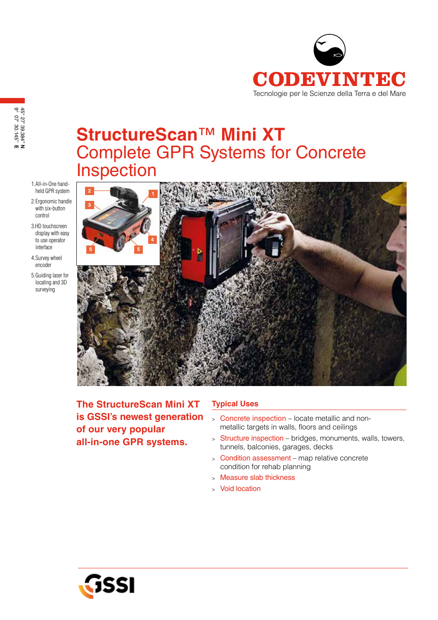

# **StructureScan**™ **Mini XT** Complete GPR Systems for Concrete Inspection

- 1.All-in-One handheld GPR system
- 2.Ergonomic handle with six-button control
- 3.HD touchscreen display with easy to use operator interface
- 4.Survey wheel encoder
- 5.Guiding laser for locating and 3D surveying



**The StructureScan Mini XT is GSSI's newest generation of our very popular all-in-one GPR systems.**

## **Typical Uses**

- <sup>&</sup>gt; Concrete inspection locate metallic and nonmetallic targets in walls, floors and ceilings
- <sup>&</sup>gt; Structure inspection bridges, monuments, walls, towers, tunnels, balconies, garages, decks
- <sup>&</sup>gt; Condition assessment map relative concrete condition for rehab planning
- <sup>&</sup>gt; Measure slab thickness
- <sup>&</sup>gt; Void location

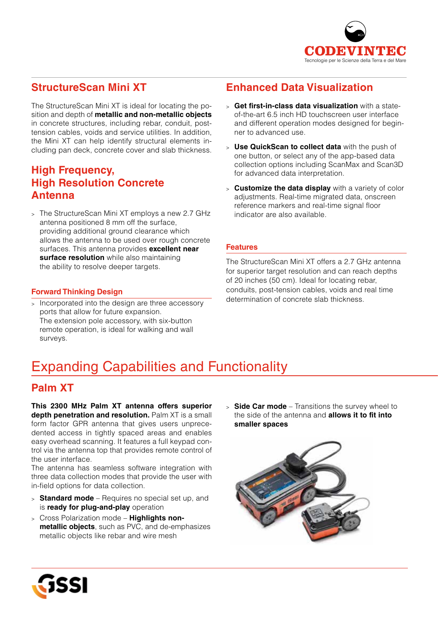

# **StructureScan Mini XT**

The StructureScan Mini XT is ideal for locating the position and depth of **metallic and non-metallic objects**  in concrete structures, including rebar, conduit, posttension cables, voids and service utilities. In addition, the Mini XT can help identify structural elements including pan deck, concrete cover and slab thickness.

## **High Frequency, High Resolution Concrete Antenna**

<sup>&</sup>gt; The StructureScan Mini XT employs a new 2.7 GHz antenna positioned 8 mm off the surface, providing additional ground clearance which allows the antenna to be used over rough concrete surfaces. This antenna provides **excellent near surface resolution** while also maintaining the ability to resolve deeper targets.

# **Enhanced Data Visualization**

- <sup>&</sup>gt; **Get first-in-class data visualization** with a stateof-the-art 6.5 inch HD touchscreen user interface and different operation modes designed for beginner to advanced use.
- <sup>&</sup>gt; **Use QuickScan to collect data** with the push of one button, or select any of the app-based data collection options including ScanMax and Scan3D for advanced data interpretation.
- <sup>&</sup>gt; **Customize the data display** with a variety of color adjustments. Real-time migrated data, onscreen reference markers and real-time signal floor indicator are also available.

### **Features**

The StructureScan Mini XT offers a 2.7 GHz antenna for superior target resolution and can reach depths of 20 inches (50 cm). Ideal for locating rebar, conduits, post-tension cables, voids and real time determination of concrete slab thickness.

## **Forward Thinking Design**

> Incorporated into the design are three accessory ports that allow for future expansion. The extension pole accessory, with six-button remote operation, is ideal for walking and wall surveys.

# Expanding Capabilities and Functionality

## **Palm XT**

**This 2300 MHz Palm XT antenna offers superior depth penetration and resolution.** Palm XT is a small form factor GPR antenna that gives users unprecedented access in tightly spaced areas and enables easy overhead scanning. It features a full keypad control via the antenna top that provides remote control of the user interface.

The antenna has seamless software integration with three data collection modes that provide the user with in-field options for data collection.

- <sup>&</sup>gt; **Standard mode** Requires no special set up, and is **ready for plug-and-play** operation
- <sup>&</sup>gt; Cross Polarization mode **Highlights nonmetallic objects**, such as PVC, and de-emphasizes metallic objects like rebar and wire mesh

<sup>&</sup>gt; **Side Car mode** – Transitions the survey wheel to the side of the antenna and **allows it to fit into smaller spaces**



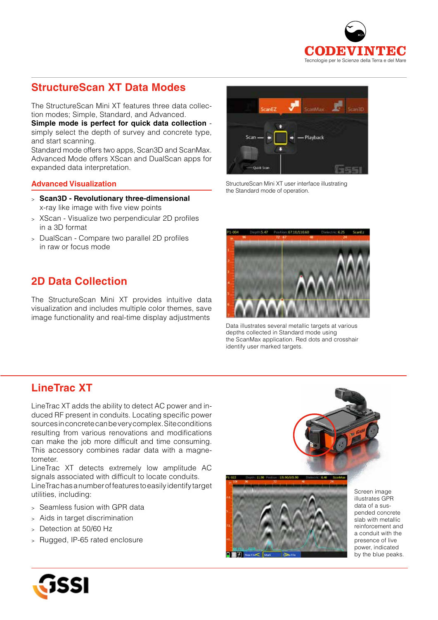

# **StructureScan XT Data Modes**

The StructureScan Mini XT features three data collection modes; Simple, Standard, and Advanced.

**Simple mode is perfect for quick data collection** simply select the depth of survey and concrete type, and start scanning.

Standard mode offers two apps, Scan3D and ScanMax. Advanced Mode offers XScan and DualScan apps for expanded data interpretation.

#### **Advanced Visualization**

- <sup>&</sup>gt; **Scan3D Revolutionary three-dimensional** x-ray like image with five view points
- <sup>&</sup>gt; XScan Visualize two perpendicular 2D profiles in a 3D format
- <sup>&</sup>gt; DualScan Compare two parallel 2D profiles in raw or focus mode

# **2D Data Collection**

The StructureScan Mini XT provides intuitive data visualization and includes multiple color themes, save image functionality and real-time display adjustments



StructureScan Mini XT user interface illustrating the Standard mode of operation.



Data illustrates several metallic targets at various depths collected in Standard mode using the ScanMax application. Red dots and crosshair identify user marked targets.

## **LineTrac XT**

LineTrac XT adds the ability to detect AC power and induced RF present in conduits. Locating specific power sources in concrete can be very complex. Site conditions resulting from various renovations and modifications can make the job more difficult and time consuming. This accessory combines radar data with a magnetometer.

LineTrac XT detects extremely low amplitude AC signals associated with difficult to locate conduits. LineTrac has a number of features to easily identify target utilities, including:

- <sup>&</sup>gt; Seamless fusion with GPR data
- <sup>&</sup>gt; Aids in target discrimination
- <sup>&</sup>gt; Detection at 50/60 Hz
- <sup>&</sup>gt; Rugged, IP-65 rated enclosure



Screen image illustrates GPR data of a suspended concrete slab with metallic reinforcement and a conduit with the presence of live power, indicated by the blue peaks.